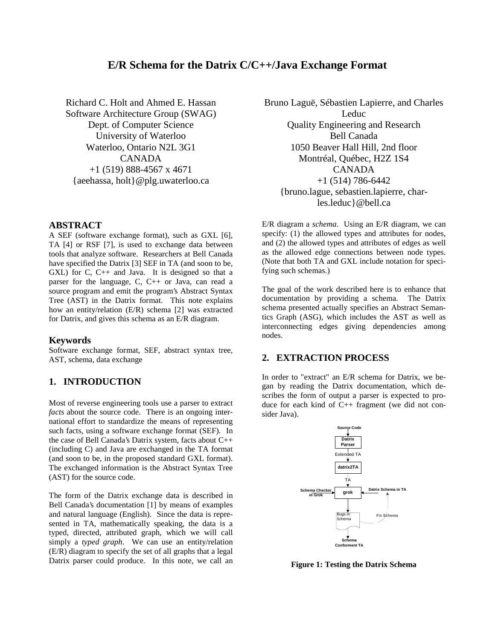# **E/R Schema for the Datrix C/C++/Java Exchange Format**

Richard C. Holt and Ahmed E. Hassan Software Architecture Group (SWAG) Dept. of Computer Science University of Waterloo Waterloo, Ontario N2L 3G1 CANADA +1 (519) 888-4567 x 4671 {aeehassa, holt}@plg.uwaterloo.ca

### **ABSTRACT**

A SEF (software exchange format), such as GXL [6], TA [4] or RSF [7], is used to exchange data between tools that analyze software. Researchers at Bell Canada have specified the Datrix [3] SEF in TA (and soon to be, GXL) for C, C++ and Java. It is designed so that a parser for the language, C, C++ or Java, can read a source program and emit the program's Abstract Syntax Tree (AST) in the Datrix format. This note explains how an entity/relation (E/R) schema [2] was extracted for Datrix, and gives this schema as an E/R diagram.

#### **Keywords**

Software exchange format, SEF, abstract syntax tree, AST, schema, data exchange

## **1. INTRODUCTION**

Most of reverse engineering tools use a parser to extract *facts* about the source code. There is an ongoing international effort to standardize the means of representing such facts, using a software exchange format (SEF). In the case of Bell Canada's Datrix system, facts about C++ (including C) and Java are exchanged in the TA format (and soon to be, in the proposed standard GXL format). The exchanged information is the Abstract Syntax Tree (AST) for the source code.

The form of the Datrix exchange data is described in Bell Canada's documentation [1] by means of examples and natural language (English). Since the data is represented in TA, mathematically speaking, the data is a typed, directed, attributed graph, which we will call simply a *typed graph*. We can use an entity/relation (E/R) diagram to specify the set of all graphs that a legal Datrix parser could produce. In this note, we call an

Bruno Laguë, Sébastien Lapierre, and Charles Leduc Quality Engineering and Research Bell Canada 1050 Beaver Hall Hill, 2nd floor Montréal, Québec, H2Z 1S4 CANADA  $+1$  (514) 786-6442 {bruno.lague, sebastien.lapierre, charles.leduc}@bell.ca

E/R diagram a *schema*. Using an E/R diagram, we can specify: (1) the allowed types and attributes for nodes, and (2) the allowed types and attributes of edges as well as the allowed edge connections between node types. (Note that both TA and GXL include notation for specifying such schemas.)

The goal of the work described here is to enhance that documentation by providing a schema. The Datrix schema presented actually specifies an Abstract Semantics Graph (ASG), which includes the AST as well as interconnecting edges giving dependencies among nodes.

# **2. EXTRACTION PROCESS**

In order to "extract" an E/R schema for Datrix, we began by reading the Datrix documentation, which describes the form of output a parser is expected to produce for each kind of C++ fragment (we did not consider Java).



**Figure 1: Testing the Datrix Schema**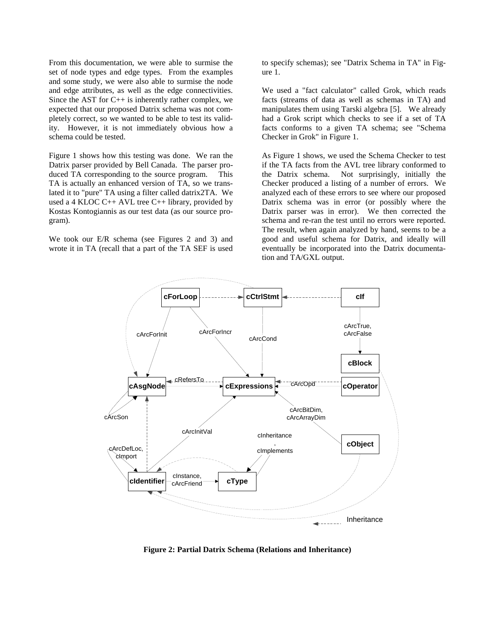From this documentation, we were able to surmise the set of node types and edge types. From the examples and some study, we were also able to surmise the node and edge attributes, as well as the edge connectivities. Since the AST for  $C_{++}$  is inherently rather complex, we expected that our proposed Datrix schema was not completely correct, so we wanted to be able to test its validity. However, it is not immediately obvious how a schema could be tested.

Figure 1 shows how this testing was done. We ran the Datrix parser provided by Bell Canada. The parser produced TA corresponding to the source program. This TA is actually an enhanced version of TA, so we translated it to "pure" TA using a filter called datrix2TA. We used a 4 KLOC  $C_{++}$  AVL tree  $C_{++}$  library, provided by Kostas Kontogiannis as our test data (as our source program).

We took our E/R schema (see Figures 2 and 3) and wrote it in TA (recall that a part of the TA SEF is used to specify schemas); see "Datrix Schema in TA" in Figure 1.

We used a "fact calculator" called Grok, which reads facts (streams of data as well as schemas in TA) and manipulates them using Tarski algebra [5]. We already had a Grok script which checks to see if a set of TA facts conforms to a given TA schema; see "Schema Checker in Grok" in Figure 1.

As Figure 1 shows, we used the Schema Checker to test if the TA facts from the AVL tree library conformed to the Datrix schema. Not surprisingly, initially the Checker produced a listing of a number of errors. We analyzed each of these errors to see where our proposed Datrix schema was in error (or possibly where the Datrix parser was in error). We then corrected the schema and re-ran the test until no errors were reported. The result, when again analyzed by hand, seems to be a good and useful schema for Datrix, and ideally will eventually be incorporated into the Datrix documentation and TA/GXL output.



**Figure 2: Partial Datrix Schema (Relations and Inheritance)**